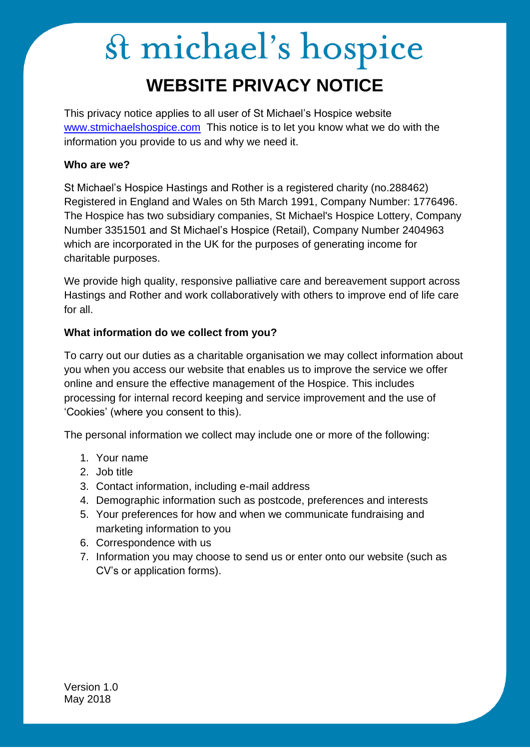### st michael's hospice **WEBSITE PRIVACY NOTICE**

This privacy notice applies to all user of St Michael's Hospice website [www.stmichaelshospice.com](http://www.stmichaelshospice.com/) This notice is to let you know what we do with the information you provide to us and why we need it.

#### **Who are we?**

St Michael's Hospice Hastings and Rother is a registered charity (no.288462) Registered in England and Wales on 5th March 1991, Company Number: 1776496. The Hospice has two subsidiary companies, St Michael's Hospice Lottery, Company Number 3351501 and St Michael's Hospice (Retail), Company Number 2404963 which are incorporated in the UK for the purposes of generating income for charitable purposes.

We provide high quality, responsive palliative care and bereavement support across Hastings and Rother and work collaboratively with others to improve end of life care for all.

#### **What information do we collect from you?**

To carry out our duties as a charitable organisation we may collect information about you when you access our website that enables us to improve the service we offer online and ensure the effective management of the Hospice. This includes processing for internal record keeping and service improvement and the use of 'Cookies' (where you consent to this).

The personal information we collect may include one or more of the following:

- 1. Your name
- 2. Job title
- 3. Contact information, including e-mail address
- 4. Demographic information such as postcode, preferences and interests
- 5. Your preferences for how and when we communicate fundraising and marketing information to you
- 6. Correspondence with us
- 7. Information you may choose to send us or enter onto our website (such as CV's or application forms).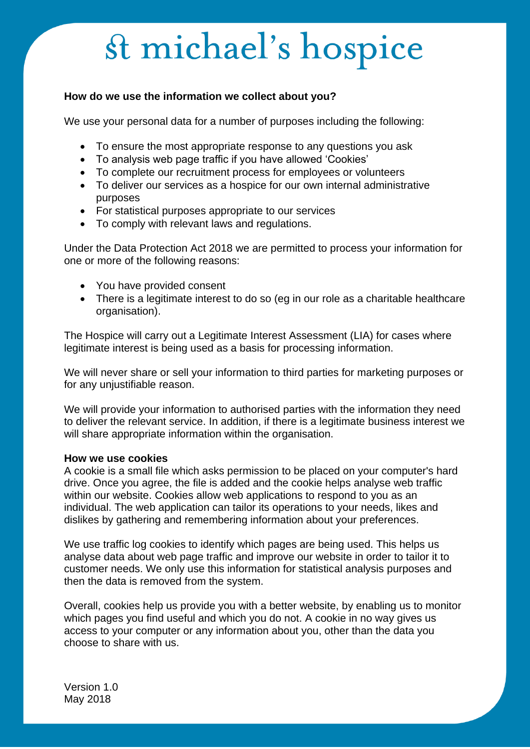#### **How do we use the information we collect about you?**

We use your personal data for a number of purposes including the following:

- To ensure the most appropriate response to any questions you ask
- To analysis web page traffic if you have allowed 'Cookies'
- To complete our recruitment process for employees or volunteers
- To deliver our services as a hospice for our own internal administrative purposes
- For statistical purposes appropriate to our services
- To comply with relevant laws and regulations.

Under the Data Protection Act 2018 we are permitted to process your information for one or more of the following reasons:

- You have provided consent
- There is a legitimate interest to do so (eg in our role as a charitable healthcare organisation).

The Hospice will carry out a Legitimate Interest Assessment (LIA) for cases where legitimate interest is being used as a basis for processing information.

We will never share or sell your information to third parties for marketing purposes or for any unjustifiable reason.

We will provide your information to authorised parties with the information they need to deliver the relevant service. In addition, if there is a legitimate business interest we will share appropriate information within the organisation.

#### **How we use cookies**

A cookie is a small file which asks permission to be placed on your computer's hard drive. Once you agree, the file is added and the cookie helps analyse web traffic within our website. Cookies allow web applications to respond to you as an individual. The web application can tailor its operations to your needs, likes and dislikes by gathering and remembering information about your preferences.

We use traffic log cookies to identify which pages are being used. This helps us analyse data about web page traffic and improve our website in order to tailor it to customer needs. We only use this information for statistical analysis purposes and then the data is removed from the system.

Overall, cookies help us provide you with a better website, by enabling us to monitor which pages you find useful and which you do not. A cookie in no way gives us access to your computer or any information about you, other than the data you choose to share with us.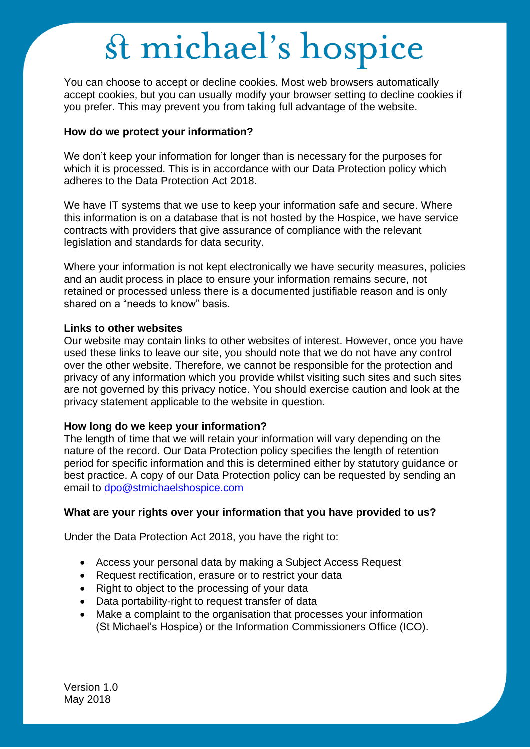You can choose to accept or decline cookies. Most web browsers automatically accept cookies, but you can usually modify your browser setting to decline cookies if you prefer. This may prevent you from taking full advantage of the website.

#### **How do we protect your information?**

We don't keep your information for longer than is necessary for the purposes for which it is processed. This is in accordance with our Data Protection policy which adheres to the Data Protection Act 2018.

We have IT systems that we use to keep your information safe and secure. Where this information is on a database that is not hosted by the Hospice, we have service contracts with providers that give assurance of compliance with the relevant legislation and standards for data security.

Where your information is not kept electronically we have security measures, policies and an audit process in place to ensure your information remains secure, not retained or processed unless there is a documented justifiable reason and is only shared on a "needs to know" basis.

#### **Links to other websites**

Our website may contain links to other websites of interest. However, once you have used these links to leave our site, you should note that we do not have any control over the other website. Therefore, we cannot be responsible for the protection and privacy of any information which you provide whilst visiting such sites and such sites are not governed by this privacy notice. You should exercise caution and look at the privacy statement applicable to the website in question.

#### **How long do we keep your information?**

The length of time that we will retain your information will vary depending on the nature of the record. Our Data Protection policy specifies the length of retention period for specific information and this is determined either by statutory guidance or best practice. A copy of our Data Protection policy can be requested by sending an email to [dpo@stmichaelshospice.com](mailto:dpo@stmichaelshospice.com)

#### **What are your rights over your information that you have provided to us?**

Under the Data Protection Act 2018, you have the right to:

- Access your personal data by making a Subject Access Request
- Request rectification, erasure or to restrict your data
- Right to object to the processing of your data
- Data portability-right to request transfer of data
- Make a complaint to the organisation that processes your information (St Michael's Hospice) or the Information Commissioners Office (ICO).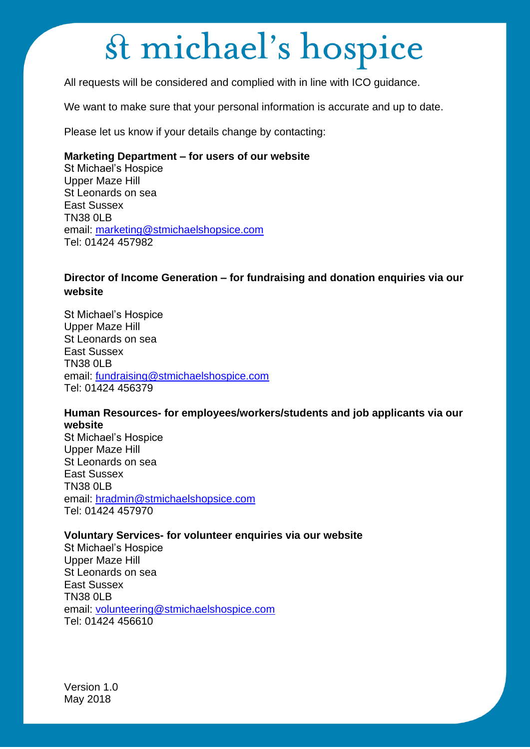All requests will be considered and complied with in line with ICO guidance.

We want to make sure that your personal information is accurate and up to date.

Please let us know if your details change by contacting:

#### **Marketing Department – for users of our website**

St Michael's Hospice Upper Maze Hill St Leonards on sea East Sussex **TN38 0LB** email: [marketing@stmichaelshopsice.com](mailto:marketing@stmichaelshopsice.com) Tel: 01424 457982

#### **Director of Income Generation – for fundraising and donation enquiries via our website**

St Michael's Hospice Upper Maze Hill St Leonards on sea East Sussex TN38 0LB email: [fundraising@stmichaelshospice.com](mailto:fundraising@stmichaelshospice.com) Tel: 01424 456379

#### **Human Resources- for employees/workers/students and job applicants via our website**

St Michael's Hospice Upper Maze Hill St Leonards on sea East Sussex TN38 0LB email: [hradmin@stmichaelshopsice.com](mailto:hradmin@stmichaelshopsice.com) Tel: 01424 457970

#### **Voluntary Services- for volunteer enquiries via our website**

St Michael's Hospice Upper Maze Hill St Leonards on sea East Sussex TN38 0LB email: [volunteering@stmichaelshospice.com](mailto:volunteering@stmichaelshospice.com) Tel: 01424 456610

Version 1.0 May 2018